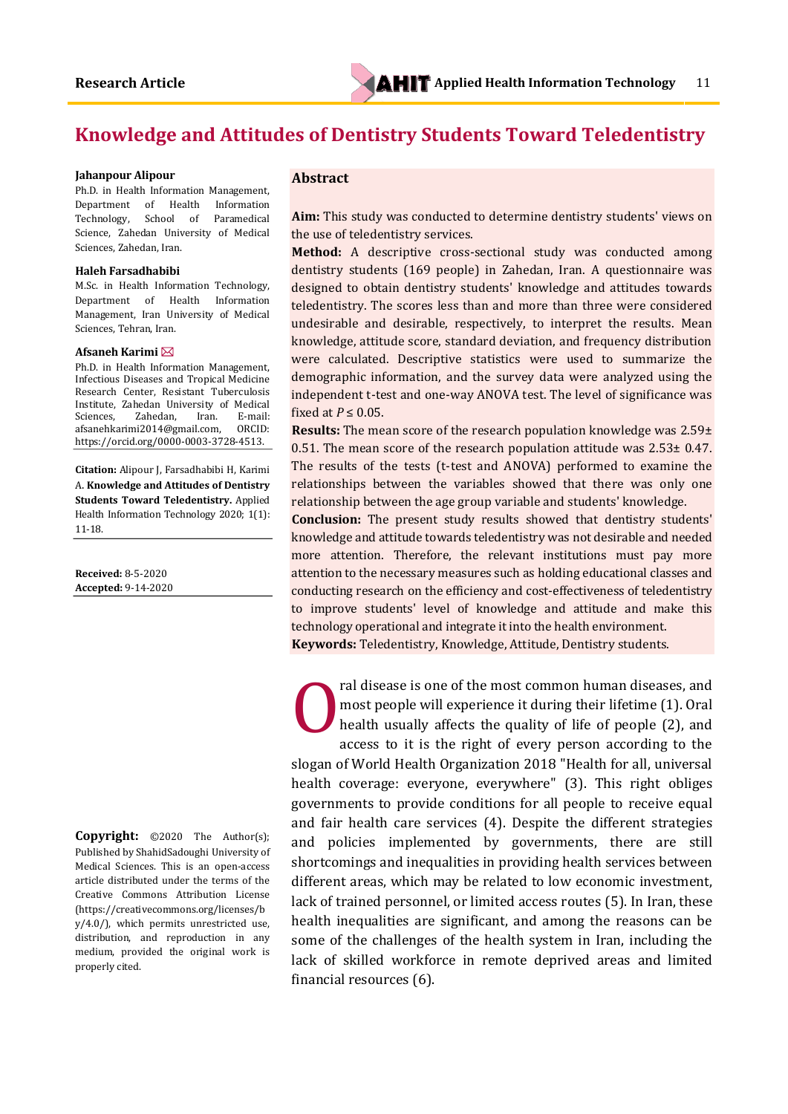# **Knowledge and Attitudes of Dentistry Students Toward Teledentistry**

#### **Jahanpour Alipour**

Ph.D. in Health Information Management, Department of Health Information Technology, School of Paramedical Science, Zahedan University of Medical Sciences, Zahedan, Iran.

#### **Haleh Farsadhabibi**

M.Sc. in Health Information Technology, Department of Health Information Management, Iran University of Medical Sciences, Tehran, Iran.

#### **Afsaneh Karimi**

Ph.D. in Health Information Management, Infectious Diseases and Tropical Medicine Research Center, Resistant Tuberculosis Institute, Zahedan University of Medical Sciences, Zahedan, Iran. E-mail: afsanehkarimi2014@gmail.com, ORCID: https://orcid.org/0000-0003-3728-4513.

**Citation:** Alipour J, Farsadhabibi H, Karimi A. **Knowledge and Attitudes of Dentistry Students Toward Teledentistry.** Applied Health Information Technology 2020; 1(1): 11-18.

**Received:** 8-5-2020 **Accepted:** 9-14-2020

**Copyright:** ©2020 The Author(s); Published by ShahidSadoughi University of Medical Sciences. This is an open-access article distributed under the terms of the Creative Commons Attribution License (https://creativecommons.org/licenses/b y/4.0/), which permits unrestricted use, distribution, and reproduction in any medium, provided the original work is properly cited.

### **Abstract**

**Aim:** This study was conducted to determine dentistry students' views on the use of teledentistry services.

**Method:** A descriptive cross-sectional study was conducted among dentistry students (169 people) in Zahedan, Iran. A questionnaire was designed to obtain dentistry students' knowledge and attitudes towards teledentistry. The scores less than and more than three were considered undesirable and desirable, respectively, to interpret the results. Mean knowledge, attitude score, standard deviation, and frequency distribution were calculated. Descriptive statistics were used to summarize the demographic information, and the survey data were analyzed using the independent t-test and one-way ANOVA test. The level of significance was fixed at  $P \leq 0.05$ .

**Results:** The mean score of the research population knowledge was 2.59± 0.51. The mean score of the research population attitude was  $2.53 \pm 0.47$ . The results of the tests (t-test and ANOVA) performed to examine the relationships between the variables showed that there was only one relationship between the age group variable and students' knowledge.

**Conclusion:** The present study results showed that dentistry students' knowledge and attitude towards teledentistry was not desirable and needed more attention. Therefore, the relevant institutions must pay more attention to the necessary measures such as holding educational classes and conducting research on the efficiency and cost-effectiveness of teledentistry to improve students' level of knowledge and attitude and make this technology operational and integrate it into the health environment. **Keywords:** Teledentistry, Knowledge, Attitude, Dentistry students.

ral disease is one of the most common human diseases, and most people will experience it during their lifetime (1). Oral health usually affects the quality of life of people (2), and O

access to it is the right of every person according to the slogan of World Health Organization 2018 "Health for all, universal health coverage: everyone, everywhere" (3). This right obliges governments to provide conditions for all people to receive equal and fair health care services (4). Despite the different strategies and policies implemented by governments, there are still shortcomings and inequalities in providing health services between different areas, which may be related to low economic investment, lack of trained personnel, or limited access routes (5). In Iran, these health inequalities are significant, and among the reasons can be some of the challenges of the health system in Iran, including the lack of skilled workforce in remote deprived areas and limited financial resources (6).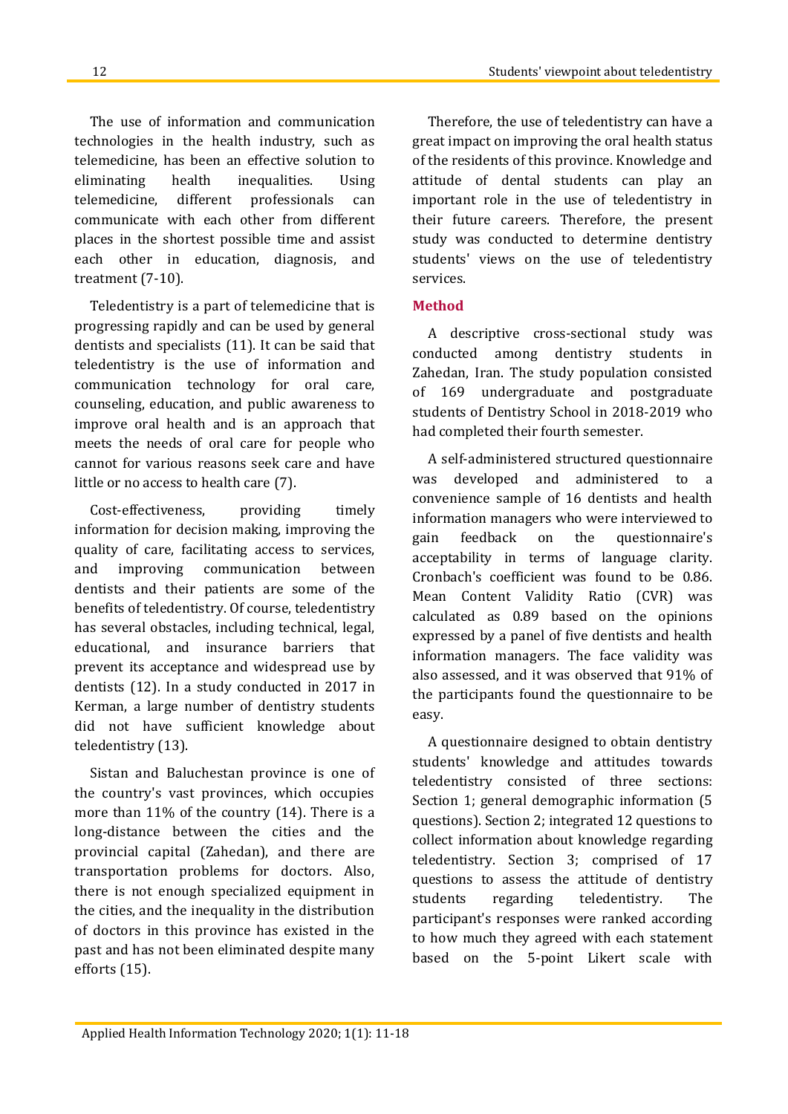The use of information and communication technologies in the health industry, such as telemedicine, has been an effective solution to eliminating health inequalities. Using telemedicine, different professionals can communicate with each other from different places in the shortest possible time and assist each other in education, diagnosis, and treatment (7-10).

Teledentistry is a part of telemedicine that is progressing rapidly and can be used by general dentists and specialists (11). It can be said that teledentistry is the use of information and communication technology for oral care, counseling, education, and public awareness to improve oral health and is an approach that meets the needs of oral care for people who cannot for various reasons seek care and have little or no access to health care (7).

Cost-effectiveness, providing timely information for decision making, improving the quality of care, facilitating access to services, and improving communication between dentists and their patients are some of the benefits of teledentistry. Of course, teledentistry has several obstacles, including technical, legal, educational, and insurance barriers that prevent its acceptance and widespread use by dentists (12). In a study conducted in 2017 in Kerman, a large number of dentistry students did not have sufficient knowledge about teledentistry (13).

Sistan and Baluchestan province is one of the country's vast provinces, which occupies more than 11% of the country (14). There is a long-distance between the cities and the provincial capital (Zahedan), and there are transportation problems for doctors. Also, there is not enough specialized equipment in the cities, and the inequality in the distribution of doctors in this province has existed in the past and has not been eliminated despite many efforts (15).

Therefore, the use of teledentistry can have a great impact on improving the oral health status of the residents of this province. Knowledge and attitude of dental students can play an important role in the use of teledentistry in their future careers. Therefore, the present study was conducted to determine dentistry students' views on the use of teledentistry services.

# **Method**

A descriptive cross-sectional study was conducted among dentistry students in Zahedan, Iran. The study population consisted of 169 undergraduate and postgraduate students of Dentistry School in 2018-2019 who had completed their fourth semester.

A self-administered structured questionnaire was developed and administered to a convenience sample of 16 dentists and health information managers who were interviewed to gain feedback on the questionnaire's acceptability in terms of language clarity. Cronbach's coefficient was found to be 0.86. Mean Content Validity Ratio (CVR) was calculated as 0.89 based on the opinions expressed by a panel of five dentists and health information managers. The face validity was also assessed, and it was observed that 91% of the participants found the questionnaire to be easy.

A questionnaire designed to obtain dentistry students' knowledge and attitudes towards teledentistry consisted of three sections: Section 1; general demographic information (5 questions). Section 2; integrated 12 questions to collect information about knowledge regarding teledentistry. Section 3; comprised of 17 questions to assess the attitude of dentistry students regarding teledentistry. The participant's responses were ranked according to how much they agreed with each statement based on the 5-point Likert scale with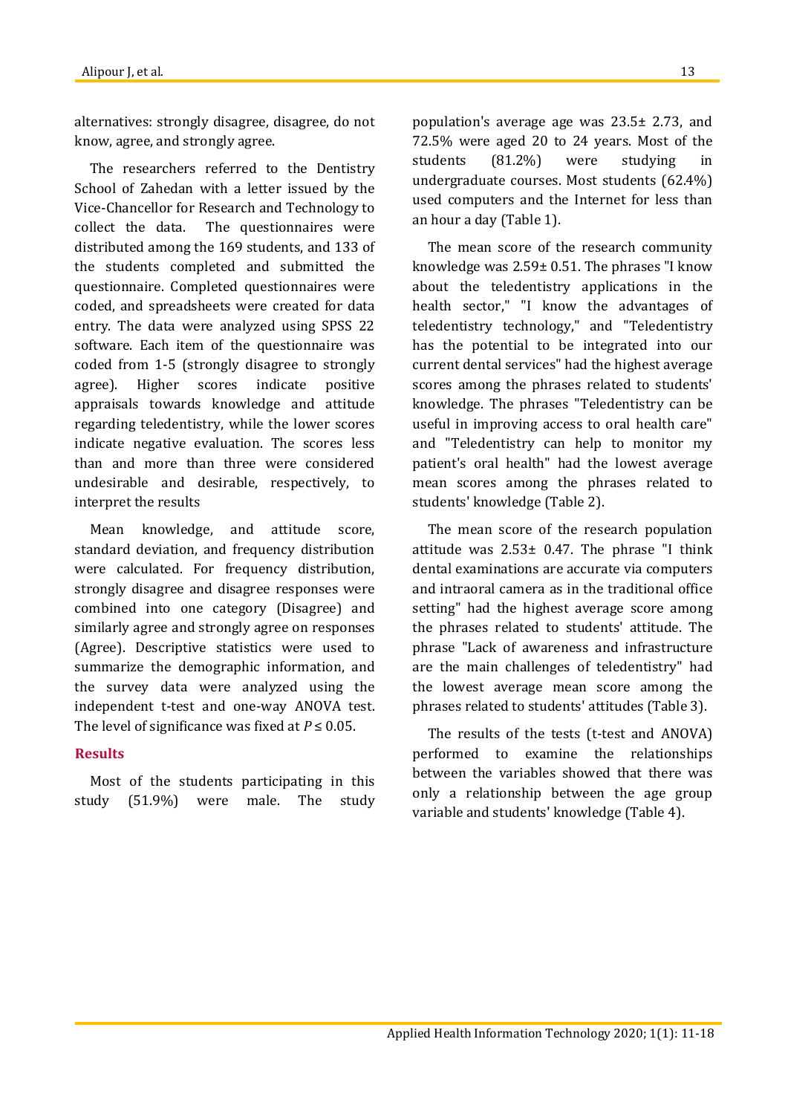alternatives: strongly disagree, disagree, do not know, agree, and strongly agree.

The researchers referred to the Dentistry School of Zahedan with a letter issued by the Vice-Chancellor for Research and Technology to collect the data. The questionnaires were distributed among the 169 students, and 133 of the students completed and submitted the questionnaire. Completed questionnaires were coded, and spreadsheets were created for data entry. The data were analyzed using SPSS 22 software. Each item of the questionnaire was coded from 1-5 (strongly disagree to strongly agree). Higher scores indicate positive appraisals towards knowledge and attitude regarding teledentistry, while the lower scores indicate negative evaluation. The scores less than and more than three were considered undesirable and desirable, respectively, to interpret the results

Mean knowledge, and attitude score, standard deviation, and frequency distribution were calculated. For frequency distribution, strongly disagree and disagree responses were combined into one category (Disagree) and similarly agree and strongly agree on responses (Agree). Descriptive statistics were used to summarize the demographic information, and the survey data were analyzed using the independent t-test and one-way ANOVA test. The level of significance was fixed at  $P \leq 0.05$ .

## **Results**

Most of the students participating in this study (51.9%) were male. The study population's average age was 23.5± 2.73, and 72.5% were aged 20 to 24 years. Most of the students (81.2%) were studying in undergraduate courses. Most students (62.4%) used computers and the Internet for less than an hour a day (Table 1).

The mean score of the research community knowledge was 2.59± 0.51. The phrases "I know about the teledentistry applications in the health sector," "I know the advantages of teledentistry technology," and "Teledentistry has the potential to be integrated into our current dental services" had the highest average scores among the phrases related to students' knowledge. The phrases "Teledentistry can be useful in improving access to oral health care" and "Teledentistry can help to monitor my patient's oral health" had the lowest average mean scores among the phrases related to students' knowledge (Table 2).

The mean score of the research population attitude was 2.53± 0.47. The phrase "I think dental examinations are accurate via computers and intraoral camera as in the traditional office setting" had the highest average score among the phrases related to students' attitude. The phrase "Lack of awareness and infrastructure are the main challenges of teledentistry" had the lowest average mean score among the phrases related to students' attitudes (Table 3).

The results of the tests (t-test and ANOVA) performed to examine the relationships between the variables showed that there was only a relationship between the age group variable and students' knowledge (Table 4).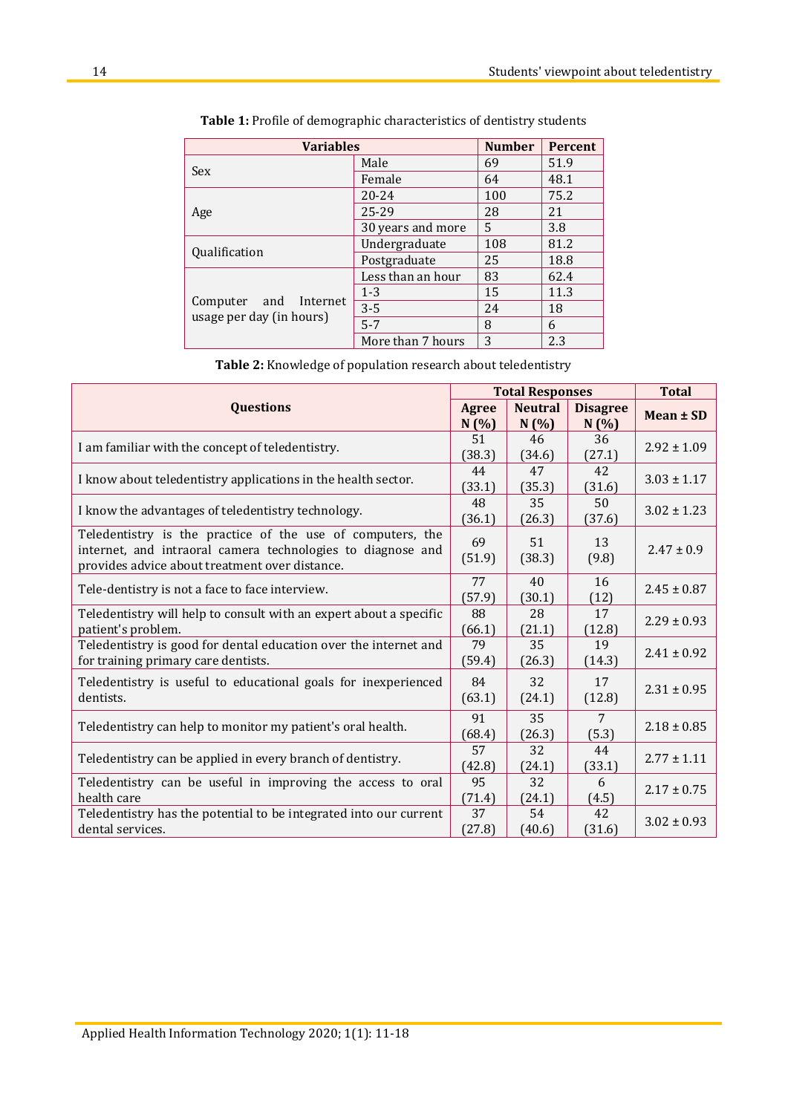| <b>Variables</b>                                  | <b>Number</b>     | Percent |      |
|---------------------------------------------------|-------------------|---------|------|
| Sex                                               | Male              | 69      | 51.9 |
|                                                   | Female            | 64      | 48.1 |
|                                                   | $20 - 24$         | 100     | 75.2 |
| Age                                               | 25-29             | 28      | 21   |
|                                                   | 30 years and more | 5       | 3.8  |
|                                                   | Undergraduate     | 108     | 81.2 |
| Qualification                                     | Postgraduate      | 25      | 18.8 |
| Computer and Internet<br>usage per day (in hours) | Less than an hour | 83      | 62.4 |
|                                                   | $1 - 3$           | 15      | 11.3 |
|                                                   | $3 - 5$           | 24      | 18   |
|                                                   | $5 - 7$           | 8       | 6    |
|                                                   | More than 7 hours | 3       | 2.3  |

**Table 1:** Profile of demographic characteristics of dentistry students

|                                                                                                                                                                             |               | <b>Total Responses</b> |                         |                 |  |
|-----------------------------------------------------------------------------------------------------------------------------------------------------------------------------|---------------|------------------------|-------------------------|-----------------|--|
| <b>Questions</b>                                                                                                                                                            | Agree<br>N(%) | <b>Neutral</b><br>N(%) | <b>Disagree</b><br>N(%) | Mean ± SD       |  |
| I am familiar with the concept of teledentistry.                                                                                                                            | 51<br>(38.3)  | 46<br>(34.6)           | 36<br>(27.1)            | $2.92 \pm 1.09$ |  |
| I know about teledentistry applications in the health sector.                                                                                                               | 44<br>(33.1)  | 47<br>(35.3)           | 42<br>(31.6)            | $3.03 \pm 1.17$ |  |
| I know the advantages of teledentistry technology.                                                                                                                          | 48<br>(36.1)  | 35<br>(26.3)           | 50<br>(37.6)            | $3.02 \pm 1.23$ |  |
| Teledentistry is the practice of the use of computers, the<br>internet, and intraoral camera technologies to diagnose and<br>provides advice about treatment over distance. | 69<br>(51.9)  | 51<br>(38.3)           | 13<br>(9.8)             | $2.47 \pm 0.9$  |  |
| Tele-dentistry is not a face to face interview.                                                                                                                             | 77<br>(57.9)  | 40<br>(30.1)           | 16<br>(12)              | $2.45 \pm 0.87$ |  |
| Teledentistry will help to consult with an expert about a specific<br>patient's problem.                                                                                    | 88<br>(66.1)  | 28<br>(21.1)           | 17<br>(12.8)            | $2.29 \pm 0.93$ |  |
| Teledentistry is good for dental education over the internet and<br>for training primary care dentists.                                                                     | 79<br>(59.4)  | 35<br>(26.3)           | 19<br>(14.3)            | $2.41 \pm 0.92$ |  |
| Teledentistry is useful to educational goals for inexperienced<br>dentists.                                                                                                 | 84<br>(63.1)  | 32<br>(24.1)           | 17<br>(12.8)            | $2.31 \pm 0.95$ |  |
| Teledentistry can help to monitor my patient's oral health.                                                                                                                 | 91<br>(68.4)  | 35<br>(26.3)           | 7<br>(5.3)              | $2.18 \pm 0.85$ |  |
| Teledentistry can be applied in every branch of dentistry.                                                                                                                  | 57<br>(42.8)  | 32<br>(24.1)           | 44<br>(33.1)            | $2.77 \pm 1.11$ |  |
| Teledentistry can be useful in improving the access to oral<br>health care                                                                                                  | 95<br>(71.4)  | 32<br>(24.1)           | 6<br>(4.5)              | $2.17 \pm 0.75$ |  |
| Teledentistry has the potential to be integrated into our current<br>dental services.                                                                                       | 37<br>(27.8)  | 54<br>(40.6)           | 42<br>(31.6)            | $3.02 \pm 0.93$ |  |

**Table 2:** Knowledge of population research about teledentistry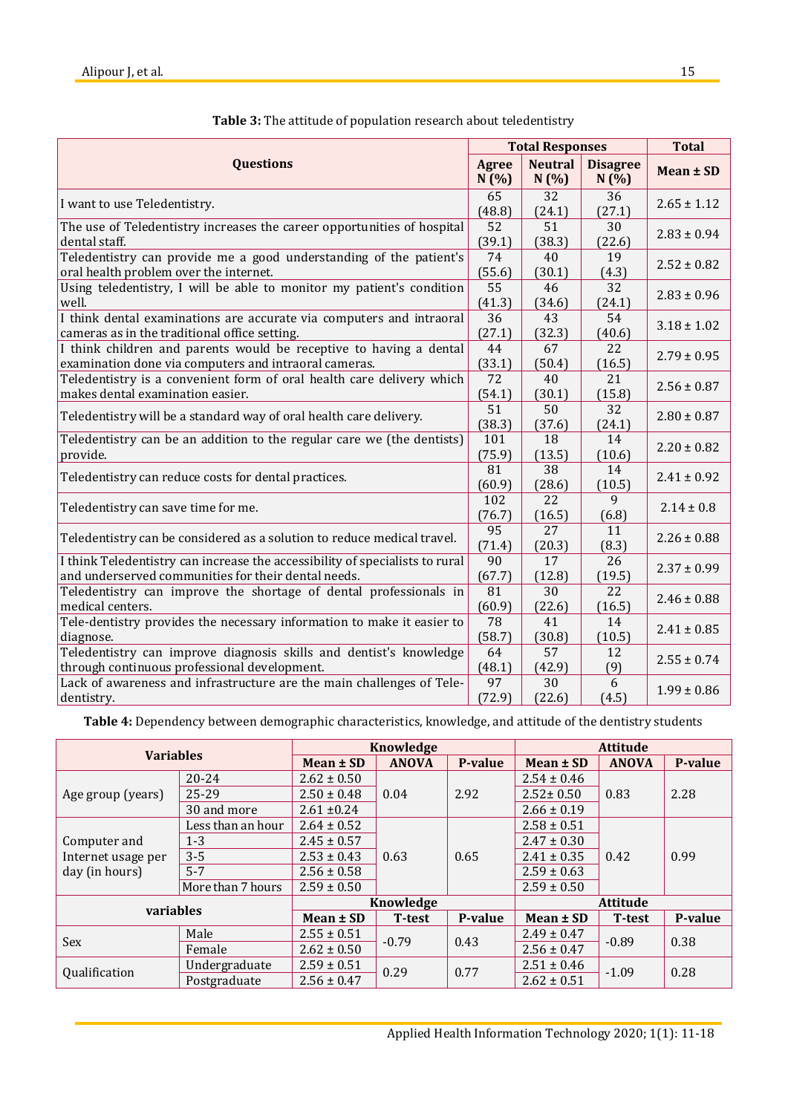| <b>Questions</b>                                                             |               | <b>Total Responses</b> |                         |                 |  |
|------------------------------------------------------------------------------|---------------|------------------------|-------------------------|-----------------|--|
|                                                                              |               | <b>Neutral</b><br>N(%) | <b>Disagree</b><br>N(%) | Mean ± SD       |  |
| I want to use Teledentistry.                                                 | 65<br>(48.8)  | 32<br>(24.1)           | 36<br>(27.1)            | $2.65 \pm 1.12$ |  |
| The use of Teledentistry increases the career opportunities of hospital      | 52            | 51                     | 30                      | $2.83 \pm 0.94$ |  |
| dental staff.                                                                | (39.1)        | (38.3)                 | (22.6)                  |                 |  |
| Teledentistry can provide me a good understanding of the patient's           | 74            | 40                     | 19                      | $2.52 \pm 0.82$ |  |
| oral health problem over the internet.                                       | (55.6)        | (30.1)                 | (4.3)                   |                 |  |
| Using teledentistry, I will be able to monitor my patient's condition        | 55            | 46                     | 32                      | $2.83 \pm 0.96$ |  |
| well.                                                                        | (41.3)        | (34.6)                 | (24.1)                  |                 |  |
| I think dental examinations are accurate via computers and intraoral         | 36            | 43                     | 54                      | $3.18 \pm 1.02$ |  |
| cameras as in the traditional office setting.                                | (27.1)        | (32.3)                 | (40.6)                  |                 |  |
| I think children and parents would be receptive to having a dental           | 44            | 67                     | 22                      | $2.79 \pm 0.95$ |  |
| examination done via computers and intraoral cameras.                        | (33.1)        | (50.4)                 | (16.5)                  |                 |  |
| Teledentistry is a convenient form of oral health care delivery which        | 72            | 40                     | 21                      | $2.56 \pm 0.87$ |  |
| makes dental examination easier.                                             | (54.1)        | (30.1)                 | (15.8)                  |                 |  |
| Teledentistry will be a standard way of oral health care delivery.           | 51<br>(38.3)  | 50<br>(37.6)           | 32<br>(24.1)            | $2.80 \pm 0.87$ |  |
| Teledentistry can be an addition to the regular care we (the dentists)       | 101           | 18                     | 14                      | $2.20 \pm 0.82$ |  |
| provide.                                                                     | (75.9)        | (13.5)                 | (10.6)                  |                 |  |
| Teledentistry can reduce costs for dental practices.                         | 81<br>(60.9)  | 38<br>(28.6)           | 14<br>(10.5)            | $2.41 \pm 0.92$ |  |
| Teledentistry can save time for me.                                          | 102<br>(76.7) | 22<br>(16.5)           | 9<br>(6.8)              | $2.14 \pm 0.8$  |  |
| Teledentistry can be considered as a solution to reduce medical travel.      | 95<br>(71.4)  | 27<br>(20.3)           | 11<br>(8.3)             | $2.26 \pm 0.88$ |  |
| I think Teledentistry can increase the accessibility of specialists to rural | 90            | 17                     | 26                      | $2.37 \pm 0.99$ |  |
| and underserved communities for their dental needs.                          | (67.7)        | (12.8)                 | (19.5)                  |                 |  |
| Teledentistry can improve the shortage of dental professionals in            | 81            | 30                     | 22                      | $2.46 \pm 0.88$ |  |
| medical centers.                                                             | (60.9)        | (22.6)                 | (16.5)                  |                 |  |
| Tele-dentistry provides the necessary information to make it easier to       | 78            | 41                     | 14                      | $2.41 \pm 0.85$ |  |
| diagnose.                                                                    | (58.7)        | (30.8)                 | (10.5)                  |                 |  |
| Teledentistry can improve diagnosis skills and dentist's knowledge           | 64            | 57                     | 12                      | $2.55 \pm 0.74$ |  |
| through continuous professional development.                                 | (48.1)        | (42.9)                 | (9)                     |                 |  |
| Lack of awareness and infrastructure are the main challenges of Tele-        | 97            | 30                     | 6                       | $1.99 \pm 0.86$ |  |
| dentistry.                                                                   | (72.9)        | (22.6)                 | (4.5)                   |                 |  |

| Table 3: The attitude of population research about teledentistry |  |
|------------------------------------------------------------------|--|
|------------------------------------------------------------------|--|

**Table 4:** Dependency between demographic characteristics, knowledge, and attitude of the dentistry students

| <b>Variables</b>   |                   | Knowledge       |               |                | <b>Attitude</b> |                 |         |      |
|--------------------|-------------------|-----------------|---------------|----------------|-----------------|-----------------|---------|------|
|                    |                   | Mean ± SD       | <b>ANOVA</b>  | <b>P-value</b> | Mean ± SD       | <b>ANOVA</b>    | P-value |      |
| Age group (years)  | $20 - 24$         | $2.62 \pm 0.50$ | 0.04          | 2.92           | $2.54 \pm 0.46$ | 0.83            | 2.28    |      |
|                    | 25-29             | $2.50 \pm 0.48$ |               |                | $2.52 \pm 0.50$ |                 |         |      |
|                    | 30 and more       | $2.61 \pm 0.24$ |               |                | $2.66 \pm 0.19$ |                 |         |      |
|                    | Less than an hour | $2.64 \pm 0.52$ | 0.63          |                | $2.58 \pm 0.51$ | 0.42            | 0.99    |      |
| Computer and       | $1 - 3$           | $2.45 \pm 0.57$ |               |                | $2.47 \pm 0.30$ |                 |         |      |
| Internet usage per | $3 - 5$           | $2.53 \pm 0.43$ |               | 0.65           | $2.41 \pm 0.35$ |                 |         |      |
| day (in hours)     | $5 - 7$           | $2.56 \pm 0.58$ |               |                |                 | $2.59 \pm 0.63$ |         |      |
|                    | More than 7 hours | $2.59 \pm 0.50$ |               |                | $2.59 \pm 0.50$ |                 |         |      |
| variables          |                   | Knowledge       |               |                | <b>Attitude</b> |                 |         |      |
|                    |                   | Mean $\pm$ SD   | <b>T-test</b> | P-value        | Mean ± SD       | <b>T-test</b>   | P-value |      |
| <b>Sex</b>         | Male              | $2.55 \pm 0.51$ | $-0.79$       | 0.43           | $2.49 \pm 0.47$ | $-0.89$         | 0.38    |      |
|                    | Female            | $2.62 \pm 0.50$ |               |                | $2.56 \pm 0.47$ |                 |         |      |
| Qualification      | Undergraduate     | $2.59 \pm 0.51$ | 0.29          |                | 0.77            | $2.51 \pm 0.46$ | $-1.09$ | 0.28 |
|                    | Postgraduate      | $2.56 \pm 0.47$ |               |                | $2.62 \pm 0.51$ |                 |         |      |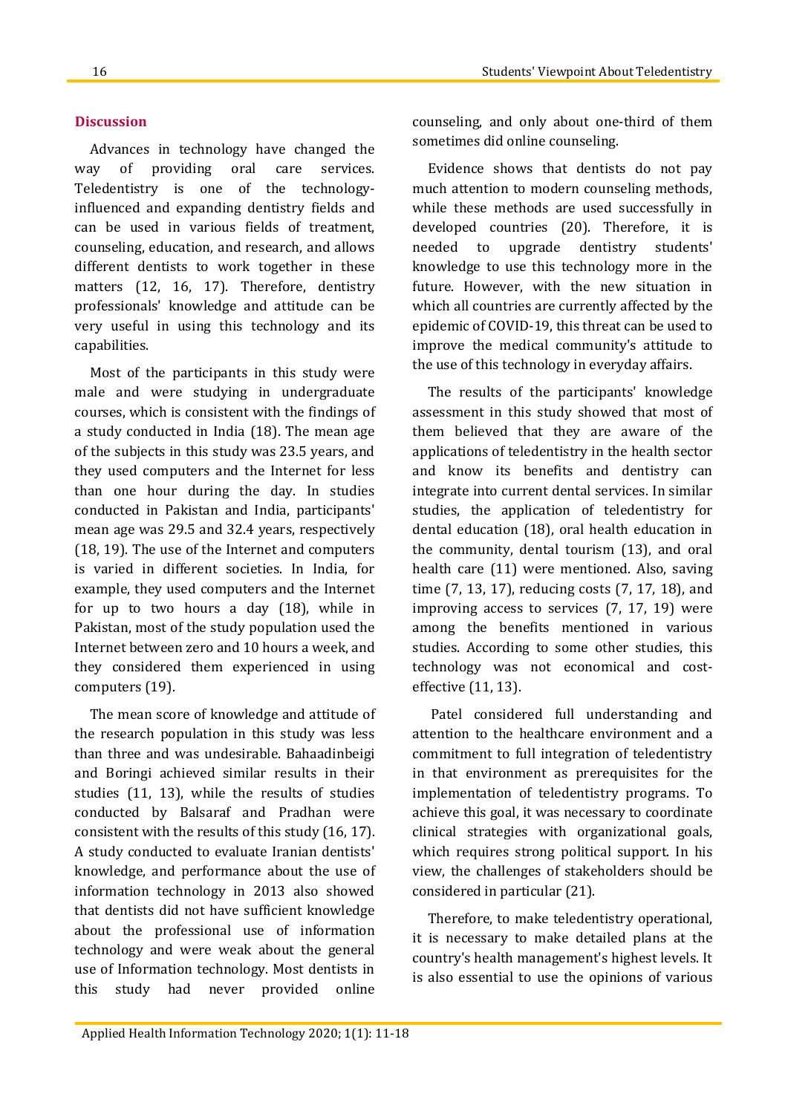# **Discussion**

Advances in technology have changed the way of providing oral care services. Teledentistry is one of the technologyinfluenced and expanding dentistry fields and can be used in various fields of treatment, counseling, education, and research, and allows different dentists to work together in these matters (12, 16, 17). Therefore, dentistry professionals' knowledge and attitude can be very useful in using this technology and its capabilities.

Most of the participants in this study were male and were studying in undergraduate courses, which is consistent with the findings of a study conducted in India (18). The mean age of the subjects in this study was 23.5 years, and they used computers and the Internet for less than one hour during the day. In studies conducted in Pakistan and India, participants' mean age was 29.5 and 32.4 years, respectively (18, 19). The use of the Internet and computers is varied in different societies. In India, for example, they used computers and the Internet for up to two hours a day (18), while in Pakistan, most of the study population used the Internet between zero and 10 hours a week, and they considered them experienced in using computers (19).

The mean score of knowledge and attitude of the research population in this study was less than three and was undesirable. Bahaadinbeigi and Boringi achieved similar results in their studies (11, 13), while the results of studies conducted by Balsaraf and Pradhan were consistent with the results of this study (16, 17). A study conducted to evaluate Iranian dentists' knowledge, and performance about the use of information technology in 2013 also showed that dentists did not have sufficient knowledge about the professional use of information technology and were weak about the general use of Information technology. Most dentists in this study had never provided online counseling, and only about one-third of them sometimes did online counseling.

Evidence shows that dentists do not pay much attention to modern counseling methods, while these methods are used successfully in developed countries (20). Therefore, it is needed to upgrade dentistry students' knowledge to use this technology more in the future. However, with the new situation in which all countries are currently affected by the epidemic of COVID-19, this threat can be used to improve the medical community's attitude to the use of this technology in everyday affairs.

The results of the participants' knowledge assessment in this study showed that most of them believed that they are aware of the applications of teledentistry in the health sector and know its benefits and dentistry can integrate into current dental services. In similar studies, the application of teledentistry for dental education (18), oral health education in the community, dental tourism (13), and oral health care (11) were mentioned. Also, saving time (7, 13, 17), reducing costs (7, 17, 18), and improving access to services (7, 17, 19) were among the benefits mentioned in various studies. According to some other studies, this technology was not economical and costeffective (11, 13).

Patel considered full understanding and attention to the healthcare environment and a commitment to full integration of teledentistry in that environment as prerequisites for the implementation of teledentistry programs. To achieve this goal, it was necessary to coordinate clinical strategies with organizational goals, which requires strong political support. In his view, the challenges of stakeholders should be considered in particular (21).

Therefore, to make teledentistry operational, it is necessary to make detailed plans at the country's health management's highest levels. It is also essential to use the opinions of various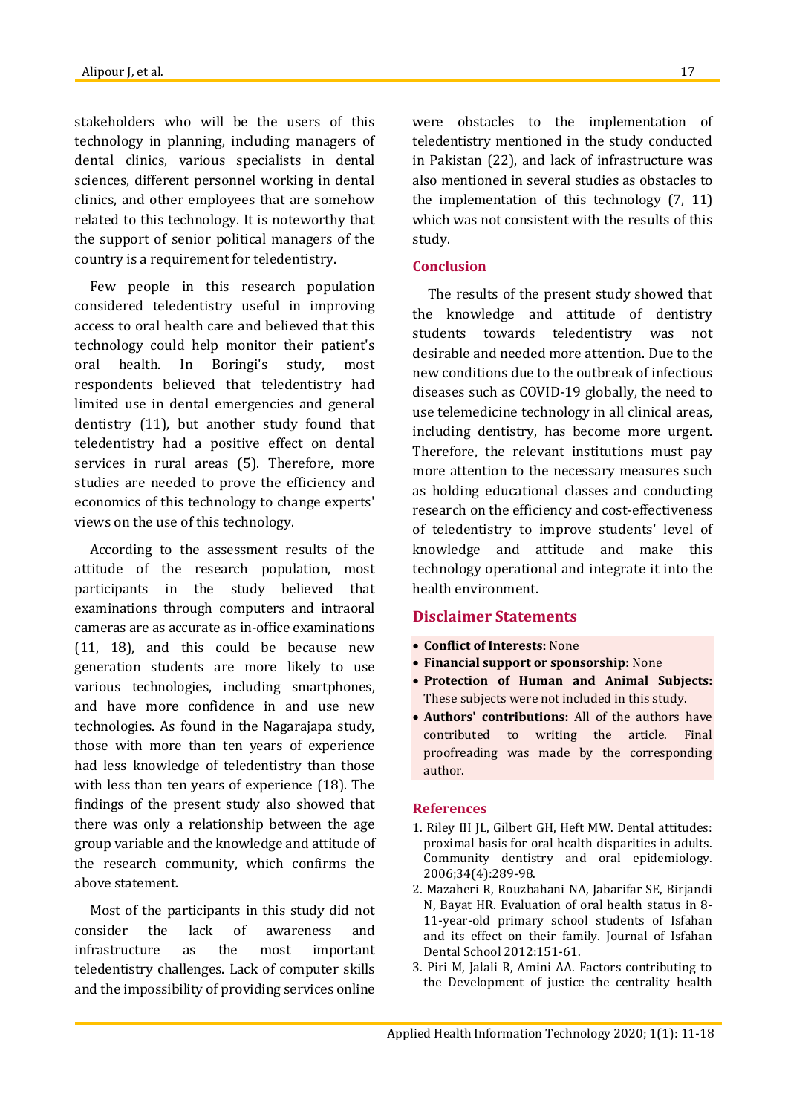stakeholders who will be the users of this technology in planning, including managers of dental clinics, various specialists in dental sciences, different personnel working in dental clinics, and other employees that are somehow related to this technology. It is noteworthy that the support of senior political managers of the country is a requirement for teledentistry.

Few people in this research population considered teledentistry useful in improving access to oral health care and believed that this technology could help monitor their patient's oral health. In Boringi's study, most respondents believed that teledentistry had limited use in dental emergencies and general dentistry (11), but another study found that teledentistry had a positive effect on dental services in rural areas (5). Therefore, more studies are needed to prove the efficiency and economics of this technology to change experts' views on the use of this technology.

According to the assessment results of the attitude of the research population, most participants in the study believed that examinations through computers and intraoral cameras are as accurate as in-office examinations (11, 18), and this could be because new generation students are more likely to use various technologies, including smartphones, and have more confidence in and use new technologies. As found in the Nagarajapa study, those with more than ten years of experience had less knowledge of teledentistry than those with less than ten years of experience (18). The findings of the present study also showed that there was only a relationship between the age group variable and the knowledge and attitude of the research community, which confirms the above statement.

Most of the participants in this study did not consider the lack of awareness and infrastructure as the most important teledentistry challenges. Lack of computer skills and the impossibility of providing services online were obstacles to the implementation of teledentistry mentioned in the study conducted in Pakistan (22), and lack of infrastructure was also mentioned in several studies as obstacles to the implementation of this technology (7, 11) which was not consistent with the results of this study.

# **Conclusion**

The results of the present study showed that the knowledge and attitude of dentistry students towards teledentistry was not desirable and needed more attention. Due to the new conditions due to the outbreak of infectious diseases such as COVID-19 globally, the need to use telemedicine technology in all clinical areas, including dentistry, has become more urgent. Therefore, the relevant institutions must pay more attention to the necessary measures such as holding educational classes and conducting research on the efficiency and cost-effectiveness of teledentistry to improve students' level of knowledge and attitude and make this technology operational and integrate it into the health environment.

# **Disclaimer Statements**

- **Conflict of Interests:** None
- **Financial support or sponsorship:** None
- **Protection of Human and Animal Subjects:**  These subjects were not included in this study.
- **Authors' contributions:** All of the authors have contributed to writing the article. Final proofreading was made by the corresponding author.

## **References**

- 1. Riley III JL, Gilbert GH, Heft MW. Dental attitudes: proximal basis for oral health disparities in adults. Community dentistry and oral epidemiology. 2006;34(4):289-98.
- 2. Mazaheri R, Rouzbahani NA, Jabarifar SE, Birjandi N, Bayat HR. Evaluation of oral health status in 8- 11-year-old primary school students of Isfahan and its effect on their family. Journal of Isfahan Dental School 2012:151-61.
- 3. Piri M, Jalali R, Amini AA. Factors contributing to the Development of justice the centrality health